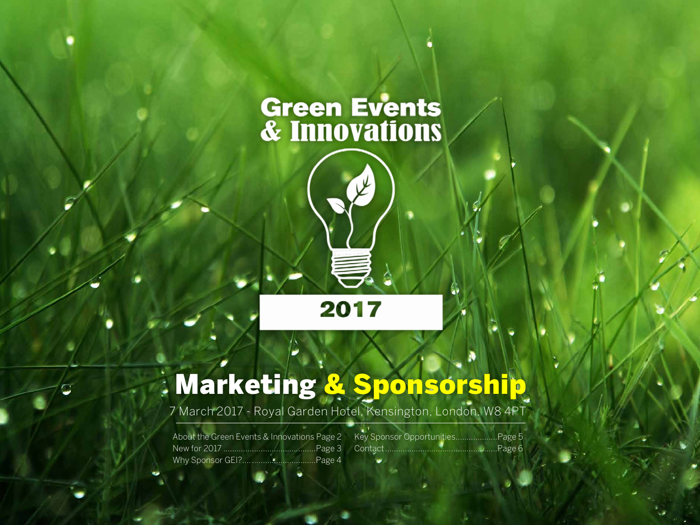# **Green Events<br>& Innovations**



## Marketing & Sponsorship

7 March 2017 - Royal Garden Hotel, Kensington, London, W8 4PT

About the Green Events & Innovations Page 2 New for 2017 ..........................................Page 3 Why Sponsor GEI?.................................Page 4

Key Sponsor Opportunities...................Page 5 Contact...................................................Page 6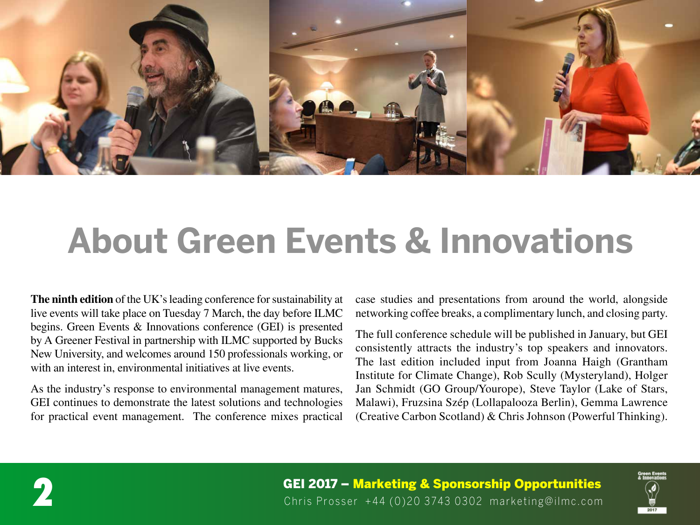

## **About Green Events & Innovations**

**The ninth edition** of the UK's leading conference for sustainability at live events will take place on Tuesday 7 March, the day before ILMC begins. Green Events & Innovations conference (GEI) is presented by A Greener Festival in partnership with ILMC supported by Bucks New University, and welcomes around 150 professionals working, or with an interest in, environmental initiatives at live events.

As the industry's response to environmental management matures, GEI continues to demonstrate the latest solutions and technologies for practical event management. The conference mixes practical

case studies and presentations from around the world, alongside networking coffee breaks, a complimentary lunch, and closing party.

The full conference schedule will be published in January, but GEI consistently attracts the industry's top speakers and innovators. The last edition included input from Joanna Haigh (Grantham Institute for Climate Change), Rob Scully (Mysteryland), Holger Jan Schmidt (GO Group/Yourope), Steve Taylor (Lake of Stars, Malawi), Fruzsina Szép (Lollapalooza Berlin), Gemma Lawrence (Creative Carbon Scotland) & Chris Johnson (Powerful Thinking).



**GEI 2017 – Marketing & Sponsorship Opportunities**<br>Chris Prosser +44 (0)20 3743 0302 marketing@ilmc.com

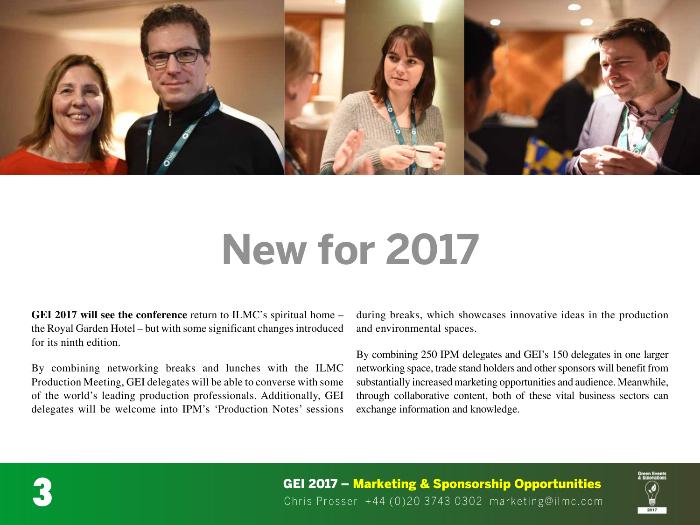

## **New for 2017**

**GEI 2017 will see the conference** return to ILMC's spiritual home – the Royal Garden Hotel – but with some significant changes introduced for its ninth edition.

By combining networking breaks and lunches with the ILMC Production Meeting, GEI delegates will be able to converse with some of the world's leading production professionals. Additionally, GEI delegates will be welcome into IPM's 'Production Notes' sessions during breaks, which showcases innovative ideas in the production and environmental spaces.

By combining 250 IPM delegates and GEI's 150 delegates in one larger networking space, trade stand holders and other sponsors will benefit from substantially increased marketing opportunities and audience. Meanwhile, through collaborative content, both of these vital business sectors can exchange information and knowledge.



**GEI 2017 – Marketing & Sponsorship Opportunities**<br>Chris Prosser +44 (0)20 3743 0302 marketing@ilmc.com

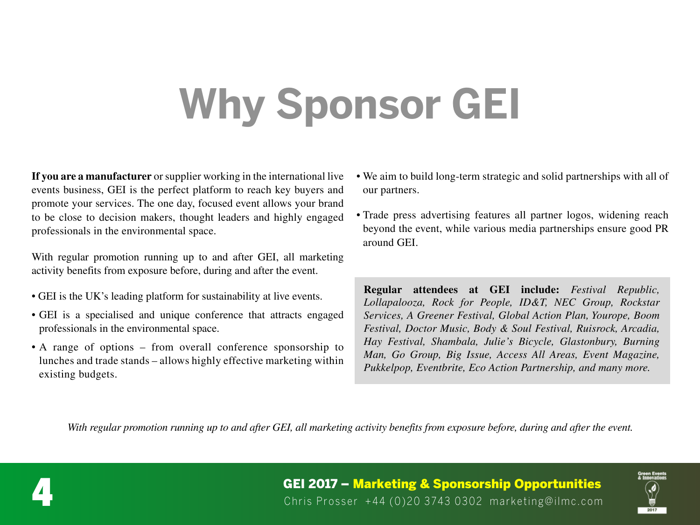# **Why Sponsor GEI**

**If you are a manufacturer** or supplier working in the international live events business, GEI is the perfect platform to reach key buyers and promote your services. The one day, focused event allows your brand to be close to decision makers, thought leaders and highly engaged professionals in the environmental space.

With regular promotion running up to and after GEI, all marketing activity benefits from exposure before, during and after the event.

- GEI is the UK's leading platform for sustainability at live events.
- GEI is a specialised and unique conference that attracts engaged professionals in the environmental space.
- A range of options from overall conference sponsorship to lunches and trade stands – allows highly effective marketing within existing budgets.
- We aim to build long-term strategic and solid partnerships with all of our partners.
- Trade press advertising features all partner logos, widening reach beyond the event, while various media partnerships ensure good PR around GEI.

**Regular attendees at GEI include:** *Festival Republic, Lollapalooza, Rock for People, ID&T, NEC Group, Rockstar Services, A Greener Festival, Global Action Plan, Yourope, Boom Festival, Doctor Music, Body & Soul Festival, Ruisrock, Arcadia, Hay Festival, Shambala, Julie's Bicycle, Glastonbury, Burning Man, Go Group, Big Issue, Access All Areas, Event Magazine, Pukkelpop, Eventbrite, Eco Action Partnership, and many more.*

*With regular promotion running up to and after GEI, all marketing activity benefits from exposure before, during and after the event.*



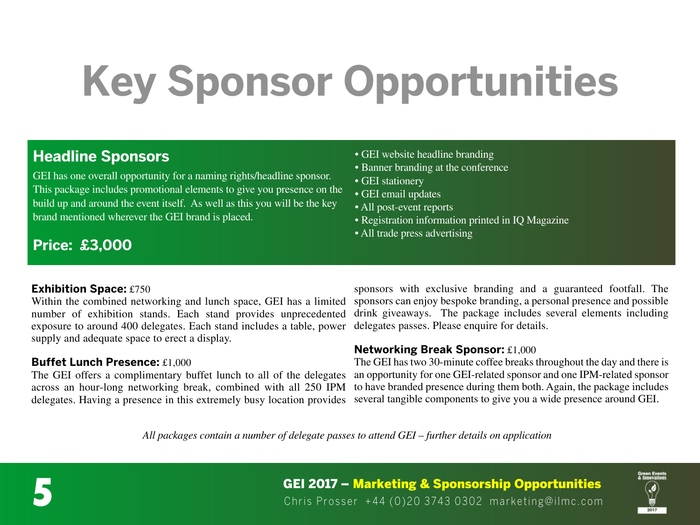# **Key Sponsor Opportunities**

### **Headline Sponsors**

GEI has one overall opportunity for a naming rights/headline sponsor. This package includes promotional elements to give you presence on the build up and around the event itself. As well as this you will be the key brand mentioned wherever the GEI brand is placed.

### • GEI website headline branding

- Banner branding at the conference
- GEI stationery
- GEI email updates
- All post-event reports
- Registration information printed in IQ Magazine
- All trade press advertising

### **Price: £3,000**

#### **Exhibition Space:** £750

Within the combined networking and lunch space, GEI has a limited number of exhibition stands. Each stand provides unprecedented exposure to around 400 delegates. Each stand includes a table, power supply and adequate space to erect a display.

#### **Buffet Lunch Presence:** £1,000

The GEI offers a complimentary buffet lunch to all of the delegates across an hour-long networking break, combined with all 250 IPM delegates. Having a presence in this extremely busy location provides

sponsors with exclusive branding and a guaranteed footfall. The sponsors can enjoy bespoke branding, a personal presence and possible drink giveaways. The package includes several elements including delegates passes. Please enquire for details.

#### **Networking Break Sponsor:** £1,000

The GEI has two 30-minute coffee breaks throughout the day and there is an opportunity for one GEI-related sponsor and one IPM-related sponsor to have branded presence during them both. Again, the package includes several tangible components to give you a wide presence around GEI.

*All packages contain a number of delegate passes to attend GEI – further details on application*



**GEI 2017 – Marketing & Sponsorship Opportunities**<br>Chris Prosser +44 (0)20 3743 0302 marketing@ilmc.com